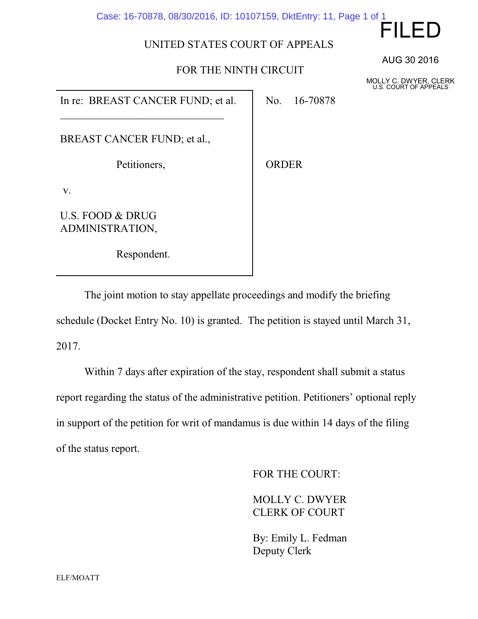Case: 16-70878, 08/30/2016, ID: 10107159, DktEntry: 11, Page 1 of 1

## UNITED STATES COURT OF APPEALS

## FOR THE NINTH CIRCUIT

In re: BREAST CANCER FUND; et al.

BREAST CANCER FUND; et al.,

\_\_\_\_\_\_\_\_\_\_\_\_\_\_\_\_\_\_\_\_\_\_\_\_\_\_\_\_\_\_

Petitioners,

Respondent.

U.S. FOOD & DRUG ADMINISTRATION,

v.

ORDER

No. 16-70878

The joint motion to stay appellate proceedings and modify the briefing schedule (Docket Entry No. 10) is granted. The petition is stayed until March 31, 2017.

Within 7 days after expiration of the stay, respondent shall submit a status report regarding the status of the administrative petition. Petitioners' optional reply in support of the petition for writ of mandamus is due within 14 days of the filing of the status report.

FOR THE COURT:

MOLLY C. DWYER CLERK OF COURT

By: Emily L. Fedman Deputy Clerk

AUG 30 2016

FILED

MOLLY C. DWYER, CLERK U.S. COURT OF APPEALS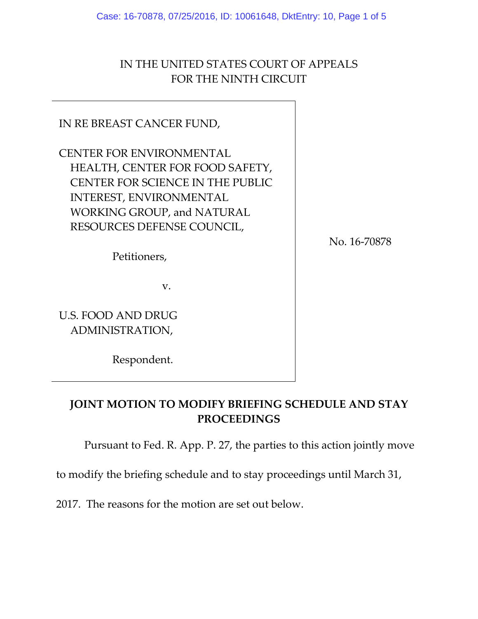Case: 16-70878, 07/25/2016, ID: 10061648, DktEntry: 10, Page 1 of 5

## IN THE UNITED STATES COURT OF APPEALS FOR THE NINTH CIRCUIT

# IN RE BREAST CANCER FUND,

CENTER FOR ENVIRONMENTAL HEALTH, CENTER FOR FOOD SAFETY, CENTER FOR SCIENCE IN THE PUBLIC INTEREST, ENVIRONMENTAL WORKING GROUP, and NATURAL RESOURCES DEFENSE COUNCIL,

No. 16-70878

Petitioners,

v.

U.S. FOOD AND DRUG ADMINISTRATION,

Respondent.

## **JOINT MOTION TO MODIFY BRIEFING SCHEDULE AND STAY PROCEEDINGS**

Pursuant to Fed. R. App. P. 27, the parties to this action jointly move

to modify the briefing schedule and to stay proceedings until March 31,

2017. The reasons for the motion are set out below.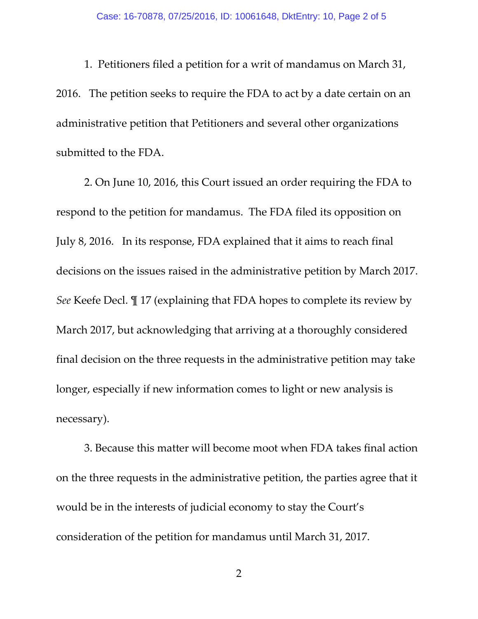1. Petitioners filed a petition for a writ of mandamus on March 31, 2016. The petition seeks to require the FDA to act by a date certain on an administrative petition that Petitioners and several other organizations submitted to the FDA.

2. On June 10, 2016, this Court issued an order requiring the FDA to respond to the petition for mandamus. The FDA filed its opposition on July 8, 2016. In its response, FDA explained that it aims to reach final decisions on the issues raised in the administrative petition by March 2017. *See* Keefe Decl. ¶ 17 (explaining that FDA hopes to complete its review by March 2017, but acknowledging that arriving at a thoroughly considered final decision on the three requests in the administrative petition may take longer, especially if new information comes to light or new analysis is necessary).

3. Because this matter will become moot when FDA takes final action on the three requests in the administrative petition, the parties agree that it would be in the interests of judicial economy to stay the Court's consideration of the petition for mandamus until March 31, 2017.

2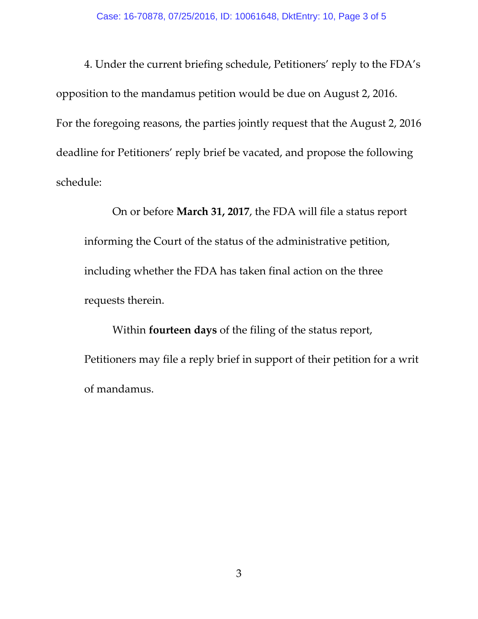4. Under the current briefing schedule, Petitioners' reply to the FDA's opposition to the mandamus petition would be due on August 2, 2016. For the foregoing reasons, the parties jointly request that the August 2, 2016 deadline for Petitioners' reply brief be vacated, and propose the following schedule:

On or before **March 31, 2017**, the FDA will file a status report informing the Court of the status of the administrative petition, including whether the FDA has taken final action on the three requests therein.

Within **fourteen days** of the filing of the status report, Petitioners may file a reply brief in support of their petition for a writ of mandamus.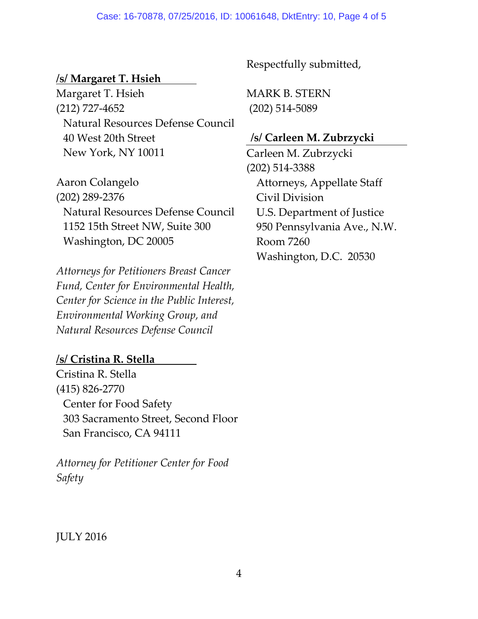#### Case: 16-70878, 07/25/2016, ID: 10061648, DktEntry: 10, Page 4 of 5

### **/s/ Margaret T. Hsieh**

Margaret T. Hsieh (212) 727-4652 Natural Resources Defense Council 40 West 20th Street New York, NY 10011

Aaron Colangelo (202) 289-2376 Natural Resources Defense Council 1152 15th Street NW, Suite 300 Washington, DC 20005

*Attorneys for Petitioners Breast Cancer Fund, Center for Environmental Health, Center for Science in the Public Interest, Environmental Working Group, and Natural Resources Defense Council*

### **/s/ Cristina R. Stella**

Cristina R. Stella (415) 826-2770 Center for Food Safety 303 Sacramento Street, Second Floor San Francisco, CA 94111

*Attorney for Petitioner Center for Food Safety*

Respectfully submitted,

MARK B. STERN (202) 514-5089

### **/s/ Carleen M. Zubrzycki**

Carleen M. Zubrzycki (202) 514-3388 Attorneys, Appellate Staff Civil Division U.S. Department of Justice 950 Pennsylvania Ave., N.W. Room 7260 Washington, D.C. 20530

JULY 2016